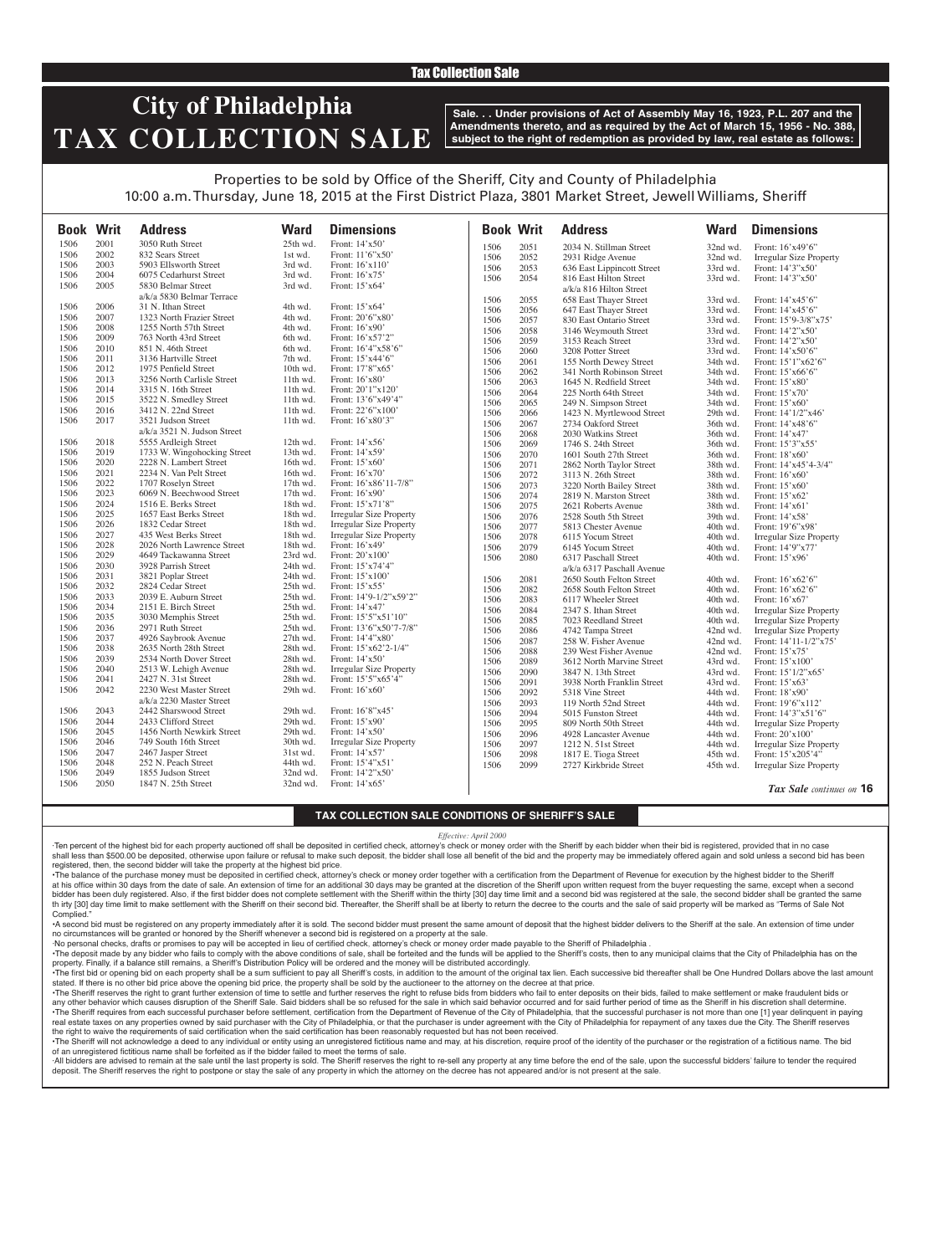## Tax Collection Sale

# **City of Philadelphia TAX COLLECTION SALE**

**Sale. . . Under provisions of Act of Assembly May 16, 1923, P.L. 207 and the Amendments thereto, and as required by the Act of March 15, 1956 - No. 388, subject to the right of redemption as provided by law, real estate as follows:**

## Properties to be sold by Office of the Sheriff, City and County of Philadelphia 10:00 a.m. Thursday, June 18, 2015 at the First District Plaza, 3801 Market Street, Jewell Williams, Sheriff

| <b>Book Writ</b> |      | <b>Address</b>              | <b>Ward</b> | <b>Dimensions</b>              |              | <b>Book Writ</b> | <b>Address</b>             | <b>Ward</b> | <b>Dimensions</b>              |
|------------------|------|-----------------------------|-------------|--------------------------------|--------------|------------------|----------------------------|-------------|--------------------------------|
| 1506             | 2001 | 3050 Ruth Street            | 25th wd.    | Front: 14'x50'                 | 1506         | 2051             | 2034 N. Stillman Street    | 32nd wd.    | Front: 16'x49'6"               |
| 1506             | 2002 | 832 Sears Street            | 1st wd.     | Front: 11'6"x50'               | 1506         | 2052             | 2931 Ridge Avenue          | 32nd wd.    | <b>Irregular Size Property</b> |
| 1506             | 2003 | 5903 Ellsworth Street       | 3rd wd.     | Front: 16'x110'                | 1506         | 2053             | 636 East Lippincott Street | 33rd wd.    | Front: 14'3"x50'               |
| 1506             | 2004 | 6075 Cedarhurst Street      | 3rd wd.     | Front: 16'x75'                 | 1506         | 2054             | 816 East Hilton Street     | 33rd wd.    | Front: 14'3"x50'               |
| 1506             | 2005 | 5830 Belmar Street          | 3rd wd.     | Front: 15'x64'                 |              |                  | a/k/a 816 Hilton Street    |             |                                |
|                  |      | a/k/a 5830 Belmar Terrace   |             |                                | 1506         | 2055             | 658 East Thayer Street     | 33rd wd.    | Front: 14'x45'6"               |
| 1506             | 2006 | 31 N. Ithan Street          | 4th wd.     | Front: 15'x64'                 | 1506         | 2056             | 647 East Thayer Street     | 33rd wd.    | Front: 14'x45'6"               |
| 1506             | 2007 | 1323 North Frazier Street   | 4th wd.     | Front: 20'6"x80'               | 1506         | 2057             | 830 East Ontario Street    | 33rd wd.    |                                |
| 1506             | 2008 | 1255 North 57th Street      | 4th wd.     | Front: 16'x90'                 | 1506         |                  |                            |             | Front: 15'9-3/8"x75'           |
| 1506             | 2009 | 763 North 43rd Street       | 6th wd.     | Front: 16'x57'2"               |              | 2058<br>2059     | 3146 Weymouth Street       | 33rd wd.    | Front: 14'2"x50'               |
| 1506             | 2010 | 851 N. 46th Street          | 6th wd.     | Front: 16'4"x58'6"             | 1506<br>1506 |                  | 3153 Reach Street          | 33rd wd.    | Front: 14'2"x50'               |
| 1506             | 2011 | 3136 Hartville Street       | 7th wd.     | Front: 15'x44'6"               |              | 2060             | 3208 Potter Street         | 33rd wd.    | Front: 14'x50'6"               |
| 1506             | 2012 | 1975 Penfield Street        | 10th wd.    | Front: 17'8"x65'               | 1506         | 2061             | 155 North Dewey Street     | 34th wd.    | Front: 15'1"x62'6"             |
| 1506             | 2013 | 3256 North Carlisle Street  | 11th wd.    | Front: $16'x80'$               | 1506         | 2062             | 341 North Robinson Street  | 34th wd.    | Front: 15'x66'6"               |
| 1506             | 2014 | 3315 N. 16th Street         | 11th wd.    | Front: 20'1"x120'              | 1506         | 2063             | 1645 N. Redfield Street    | 34th wd.    | Front: 15'x80'                 |
| 1506             | 2015 | 3522 N. Smedley Street      | 11th wd.    | Front: 13'6"x49'4"             | 1506         | 2064             | 225 North 64th Street      | 34th wd.    | Front: $15'x70'$               |
| 1506             | 2016 | 3412 N. 22nd Street         | $11th$ wd.  | Front: 22'6"x100"              | 1506         | 2065             | 249 N. Simpson Street      | 34th wd.    | Front: 15'x60'                 |
| 1506             | 2017 | 3521 Judson Street          | 11th wd.    | Front: 16'x80'3"               | 1506         | 2066             | 1423 N. Myrtlewood Street  | 29th wd.    | Front: 14'1/2"x46'             |
|                  |      | a/k/a 3521 N. Judson Street |             |                                | 1506         | 2067             | 2734 Oakford Street        | 36th wd.    | Front: 14'x48'6"               |
| 1506             | 2018 | 5555 Ardleigh Street        | 12th wd.    | Front: 14'x56'                 | 1506         | 2068             | 2030 Watkins Street        | 36th wd.    | Front: 14'x47'                 |
| 1506             | 2019 | 1733 W. Wingohocking Street | 13th wd.    | Front: 14'x59'                 | 1506         | 2069             | 1746 S. 24th Street        | 36th wd.    | Front: 15'3"x55'               |
|                  | 2020 | 2228 N. Lambert Street      | 16th wd.    |                                | 1506         | 2070             | 1601 South 27th Street     | 36th wd.    | Front: 18'x60'                 |
| 1506             |      |                             |             | Front: 15'x60'                 | 1506         | 2071             | 2862 North Taylor Street   | 38th wd.    | Front: 14'x45'4-3/4"           |
| 1506             | 2021 | 2234 N. Van Pelt Street     | 16th wd.    | Front: 16'x70'                 | 1506         | 2072             | 3113 N. 26th Street        | 38th wd.    | Front: 16'x60'                 |
| 1506             | 2022 | 1707 Roselyn Street         | 17th wd.    | Front: 16'x86'11-7/8"          | 1506         | 2073             | 3220 North Bailey Street   | 38th wd.    | Front: 15'x60'                 |
| 1506             | 2023 | 6069 N. Beechwood Street    | 17th wd.    | Front: 16'x90'                 | 1506         | 2074             | 2819 N. Marston Street     | 38th wd.    | Front: 15'x62'                 |
| 1506             | 2024 | 1516 E. Berks Street        | $18th$ wd.  | Front: 15'x71'8"               | 1506         | 2075             | 2621 Roberts Avenue        | 38th wd.    | Front: 14'x61'                 |
| 1506             | 2025 | 1657 East Berks Street      | 18th wd.    | <b>Irregular Size Property</b> | 1506         | 2076             | 2528 South 5th Street      | 39th wd.    | Front: 14'x58'                 |
| 1506             | 2026 | 1832 Cedar Street           | 18th wd.    | <b>Irregular Size Property</b> | 1506         | 2077             | 5813 Chester Avenue        | 40th wd.    | Front: 19'6"x98'               |
| 1506             | 2027 | 435 West Berks Street       | 18th wd.    | Irregular Size Property        | 1506         | 2078             | 6115 Yocum Street          | 40th wd.    | <b>Irregular Size Property</b> |
| 1506             | 2028 | 2026 North Lawrence Street  | 18th wd.    | Front: 16'x49'                 | 1506         | 2079             | 6145 Yocum Street          | 40th wd.    | Front: 14'9"x77'               |
| 1506             | 2029 | 4649 Tackawanna Street      | 23rd wd.    | Front: 20'x100'                | 1506         | 2080             | 6317 Paschall Street       | 40th wd.    | Front: 15'x96'                 |
| 1506             | 2030 | 3928 Parrish Street         | 24th wd.    | Front: 15'x74'4"               |              |                  | a/k/a 6317 Paschall Avenue |             |                                |
| 1506             | 2031 | 3821 Poplar Street          | 24th wd.    | Front: 15'x100'                | 1506         | 2081             | 2650 South Felton Street   | 40th wd.    | Front: 16'x62'6"               |
| 1506             | 2032 | 2824 Cedar Street           | $25th$ wd.  | Front: $15'x55'$               | 1506         | 2082             | 2658 South Felton Street   | 40th wd.    | Front: 16'x62'6"               |
| 1506             | 2033 | 2039 E. Auburn Street       | 25th wd.    | Front: 14'9-1/2"x59'2"         | 1506         | 2083             | 6117 Wheeler Street        | $40th$ wd.  | Front: $16'x67'$               |
| 1506             | 2034 | 2151 E. Birch Street        | 25th wd.    | Front: 14'x47'                 | 1506         | 2084             | 2347 S. Ithan Street       | 40th wd.    | <b>Irregular Size Property</b> |
| 1506             | 2035 | 3030 Memphis Street         | 25th wd.    | Front: 15'5"x51'10"            | 1506         | 2085             | 7023 Reedland Street       | 40th wd.    | <b>Irregular Size Property</b> |
| 1506             | 2036 | 2971 Ruth Street            | 25th wd.    | Front: 13'6"x50'7-7/8"         | 1506         | 2086             | 4742 Tampa Street          | 42nd wd.    | <b>Irregular Size Property</b> |
| 1506             | 2037 | 4926 Saybrook Avenue        | 27th wd.    | Front: 14'4"x80                | 1506         | 2087             | 258 W. Fisher Avenue       | 42nd wd.    | Front: 14'11-1/2"x75'          |
| 1506             | 2038 | 2635 North 28th Street      | 28th wd.    | Front: 15'x62'2-1/4"           | 1506         | 2088             | 239 West Fisher Avenue     | 42nd wd.    | Front: 15'x75'                 |
| 1506             | 2039 | 2534 North Dover Street     | 28th wd.    | Front: 14'x50'                 | 1506         | 2089             | 3612 North Marvine Street  | 43rd wd.    | Front: 15'x100'                |
| 1506             | 2040 | 2513 W. Lehigh Avenue       | 28th wd.    | <b>Irregular Size Property</b> | 1506         | 2090             | 3847 N. 13th Street        | 43rd wd.    | Front: 15'1/2"x65'             |
| 1506             | 2041 | 2427 N. 31st Street         | 28th wd.    | Front: 15'5"x65'4"             | 1506         | 2091             | 3938 North Franklin Street | 43rd wd.    | Front: 15'x63'                 |
| 1506             | 2042 | 2230 West Master Street     | 29th wd.    | Front: 16'x60'                 | 1506         | 2092             | 5318 Vine Street           | 44th wd.    | Front: 18'x90'                 |
|                  |      | a/k/a 2230 Master Street    |             |                                | 1506         | 2093             | 119 North 52nd Street      | 44th wd.    | Front: 19'6"x112"              |
| 1506             | 2043 | 2442 Sharswood Street       | 29th wd.    | Front: 16'8"x45'               | 1506         | 2094             | 5015 Funston Street        | 44th wd.    | Front: 14'3"x51'6"             |
| 1506             | 2044 | 2433 Clifford Street        | 29th wd.    | Front: 15'x90'                 | 1506         | 2095             | 809 North 50th Street      | 44th wd.    | <b>Irregular Size Property</b> |
| 1506             | 2045 | 1456 North Newkirk Street   | 29th wd.    | Front: 14'x50'                 | 1506         | 2096             | 4928 Lancaster Avenue      | 44th wd.    | Front: 20'x100'                |
| 1506             | 2046 | 749 South 16th Street       | 30th wd.    | <b>Irregular Size Property</b> | 1506         | 2097             | 1212 N. 51st Street        | 44th wd.    | Irregular Size Property        |
| 1506             | 2047 | 2467 Jasper Street          | 31st wd.    | Front: 14'x57'                 | 1506         | 2098             | 1817 E. Tioga Street       | 45th wd.    | Front: 15'x205'4"              |
| 1506             | 2048 | 252 N. Peach Street         | 44th wd.    | Front: 15'4"x51'               | 1506         | 2099             | 2727 Kirkbride Street      | 45th wd.    | <b>Irregular Size Property</b> |
| 1506             | 2049 | 1855 Judson Street          | 32nd wd.    | Front: 14'2"x50'               |              |                  |                            |             |                                |
| 1506             | 2050 | 1847 N. 25th Street         | 32nd wd.    | Front: $14'x65'$               |              |                  |                            |             | $\pi$ $\alpha$ $\tau$ $\cdots$ |

*Tax Sale continues on* **16**

### **TAX COLLECTION SALE CONDITIONS OF SHERIFF'S SALE**

 $\mathbf{I}$ 

#### *Effective: April 2000*

·Ten percent of the highest bid for each property auctioned off shall be deposited in certified check, attorney's check or money order with the Sheriff by each bidder when their bid is registered, provided that in no case shall less than \$500.00 be deposited, otherwise upon failure or refusal to make such deposit, the bidder shall lose all benefit of the bid and the property may be immediately offered again and sold unless a second bid has registered, then, the second bidder will take the property at the highest bid price.

•The balance of the purchase money must be deposited in certified check, attorney's check or money order together with a certification from the Department of Revenue for execution by the highest bidder to the Sheriff at his office within 30 days from the date of sale. An extension of time for an additional 30 days may be granted at the discretion of the Sheriff upon written request from the buyer requesting the same, except when a second bidder has been duly registered. Also, if the first bidder does not complete settlement with the Sheriff within the thirty [30] day time limit and a second bid was registered at the sale, the second bidder shall be granted th irty [30] day time limit to make settlement with the Sheriff on their second bid. Thereafter, the Sheriff shall be at liberty to return the decree to the courts and the sale of said property will be marked as "Terms of Complied.

•A second bid must be registered on any property immediately after it is sold. The second bidder must present the same amount of deposit that the highest bidder delivers to the Sheriff at the sale. An extension of time under no circumstances will be granted or honored by the Sheriff whenever a second bid is registered on a property at the sale.

·No personal checks, drafts or promises to pay will be accepted in lieu of certified check, attorney's check or money order made payable to the Sheriff of Philadelphia .

. The deposit made by any bidder who fails to comply with the above conditions of sale, shall be forteited and the funds will be applied to the Sheriff's costs, then to any municipal claims that the City of Philadelphia ha property. Finally, if a balance still remains, a Sheriff's Distribution Policy will be ordered and the money will be distributed accordingly.

The first bid or opening bid on each property shall be a sum sufficient to pay all Sheriff's costs, in addition to the amount of the original tax lien. Each successive bid thereafter shall be One Hundred Dollars above the stated. If there is no other bid price above the opening bid price, the property shall be sold by the auctioneer to the attorney on the decree at that price.

· The Sheriff reserves the right to grant further extension of time to settle and further reserves the right to refuse bids from bidders who fail to enter deposits on their bids, failed to make settlement or make fraudulen any other behavior which causes disruption of the Sheriff Sale. Said bidders shall be so refused for the sale in which said behavior occurred and for said further period of time as the Sheriff in his discretion shall deter •The Sheriff requires from each successful purchaser before settlement, certification from the Department of Revenue of the City of Philadelphia, that the successful purchaser is not more than one [1] year delinquent in pa real estate taxes on any properties owned by said purchaser with the City of Philadelphia, or that the purchaser is under agreement with the City of Philadelphia for repayment of any taxes due the City. The Sheriff reserve the right to waive the requirements of said certification when the said certification has been reasonably requested but has not been received.

The Sheriff will not acknowledge a deed to any individual or entity using an unregistered fictitious name and may, at his discretion, require proof of the identity of the purchaser or of an unregistered fictitious name shall be forfeited as if the bidder failed to meet the terms of sale.

All bidders are advised to remain at the sale until the last property is sold. The Sheriff reserves the right to re-sell any property at any time before the end of the sale, upon the successful bidders' failure to tender t deposit. The Sheriff reserves the right to postpone or stay the sale of any property in which the attorney on the decree has not appeared and/or is not present at the sale.